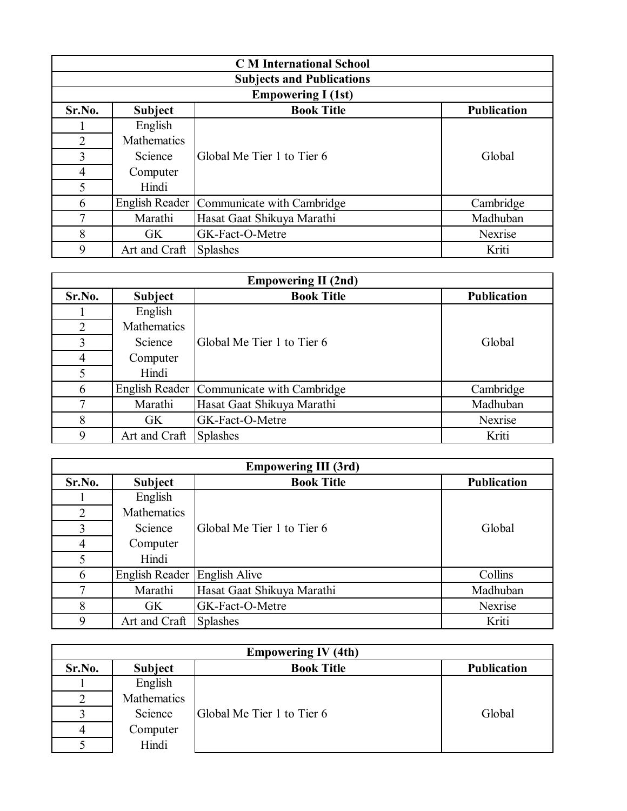| <b>C</b> M International School |                                  |                                           |                    |  |  |
|---------------------------------|----------------------------------|-------------------------------------------|--------------------|--|--|
|                                 | <b>Subjects and Publications</b> |                                           |                    |  |  |
|                                 |                                  | <b>Empowering I (1st)</b>                 |                    |  |  |
| Sr.No.                          | <b>Subject</b>                   | <b>Book Title</b>                         | <b>Publication</b> |  |  |
|                                 | English                          |                                           |                    |  |  |
| $\overline{2}$                  | Mathematics                      |                                           |                    |  |  |
| 3                               | <b>Science</b>                   | Global Me Tier 1 to Tier 6                | Global             |  |  |
| $\overline{4}$                  | Computer                         |                                           |                    |  |  |
| 5                               | Hindi                            |                                           |                    |  |  |
| 6                               |                                  | English Reader Communicate with Cambridge | Cambridge          |  |  |
| 7                               | Marathi                          | Hasat Gaat Shikuya Marathi                | Madhuban           |  |  |
| 8                               | GK                               | GK-Fact-O-Metre                           | Nexrise            |  |  |
| 9                               | Art and Craft                    | Splashes                                  | Kriti              |  |  |

| <b>Empowering II (2nd)</b> |                    |                                             |                    |
|----------------------------|--------------------|---------------------------------------------|--------------------|
| Sr.No.                     | <b>Subject</b>     | <b>Book Title</b>                           | <b>Publication</b> |
|                            | English            |                                             |                    |
| 2                          | <b>Mathematics</b> |                                             |                    |
| 3                          | Science            | Global Me Tier 1 to Tier 6                  | Global             |
| 4                          | Computer           |                                             |                    |
| 5                          | Hindi              |                                             |                    |
| 6                          |                    | English Reader   Communicate with Cambridge | Cambridge          |
| 7                          | Marathi            | Hasat Gaat Shikuya Marathi                  | Madhuban           |
| 8                          | <b>GK</b>          | GK-Fact-O-Metre                             | Nexrise            |
| 9                          | Art and Craft      | <b>Splashes</b>                             | Kriti              |

| <b>Empowering III (3rd)</b> |                              |                            |                    |
|-----------------------------|------------------------------|----------------------------|--------------------|
| Sr.No.                      | <b>Subject</b>               | <b>Book Title</b>          | <b>Publication</b> |
|                             | English                      |                            |                    |
| 2                           | Mathematics                  |                            |                    |
| 3                           | Science                      | Global Me Tier 1 to Tier 6 | Global             |
| $\overline{4}$              | Computer                     |                            |                    |
| 5                           | Hindi                        |                            |                    |
| 6                           | English Reader English Alive |                            | Collins            |
| 7                           | Marathi                      | Hasat Gaat Shikuya Marathi | Madhuban           |
| 8                           | <b>GK</b>                    | GK-Fact-O-Metre            | Nexrise            |
| 9                           | Art and Craft                | <b>Splashes</b>            | Kriti              |

| <b>Empowering IV (4th)</b> |             |                            |                    |  |
|----------------------------|-------------|----------------------------|--------------------|--|
| Sr.No.                     | Subject     | <b>Book Title</b>          | <b>Publication</b> |  |
|                            | English     |                            |                    |  |
|                            | Mathematics |                            |                    |  |
|                            | Science     | Global Me Tier 1 to Tier 6 | Global             |  |
| 4                          | Computer    |                            |                    |  |
|                            | Hindi       |                            |                    |  |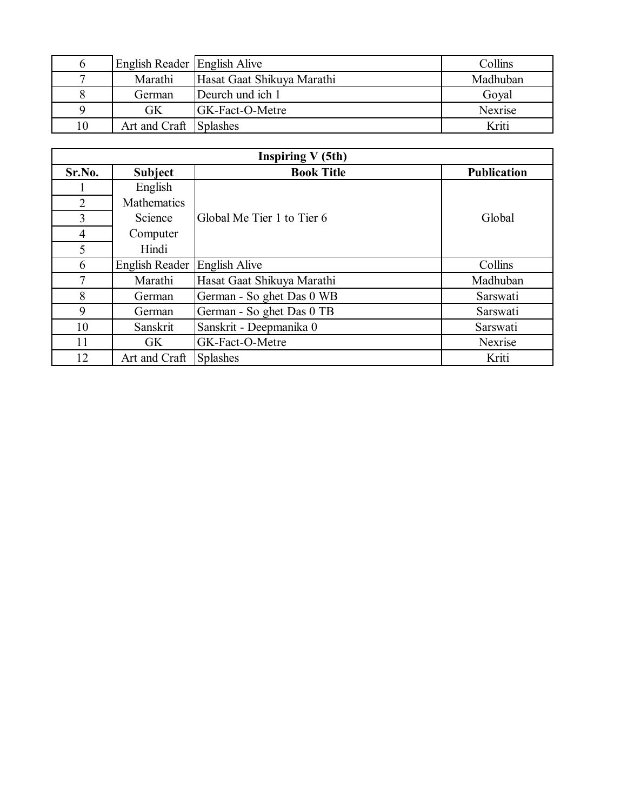|    | English Reader English Alive |                            | Collins  |
|----|------------------------------|----------------------------|----------|
|    | Marathi                      | Hasat Gaat Shikuya Marathi | Madhuban |
|    | German                       | Deurch und ich 1           | Goyal    |
|    | <b>GK</b>                    | <b>IGK-Fact-O-Metre</b>    | Nexrise  |
| 10 | Art and Craft Splashes       |                            | Kriti    |

| <b>Inspiring V (5th)</b> |                |                            |                    |
|--------------------------|----------------|----------------------------|--------------------|
| Sr.No.                   | <b>Subject</b> | <b>Book Title</b>          | <b>Publication</b> |
|                          | English        |                            |                    |
| 2                        | Mathematics    |                            |                    |
| 3                        | Science        | Global Me Tier 1 to Tier 6 | Global             |
| $\overline{4}$           | Computer       |                            |                    |
| 5                        | Hindi          |                            |                    |
| 6                        | English Reader | <b>English Alive</b>       | Collins            |
| 7                        | Marathi        | Hasat Gaat Shikuya Marathi | Madhuban           |
| 8                        | German         | German - So ghet Das 0 WB  | Sarswati           |
| 9                        | German         | German - So ghet Das 0 TB  | Sarswati           |
| 10                       | Sanskrit       | Sanskrit - Deepmanika 0    | Sarswati           |
| 11                       | <b>GK</b>      | GK-Fact-O-Metre            | Nexrise            |
| 12                       | Art and Craft  | <b>Splashes</b>            | Kriti              |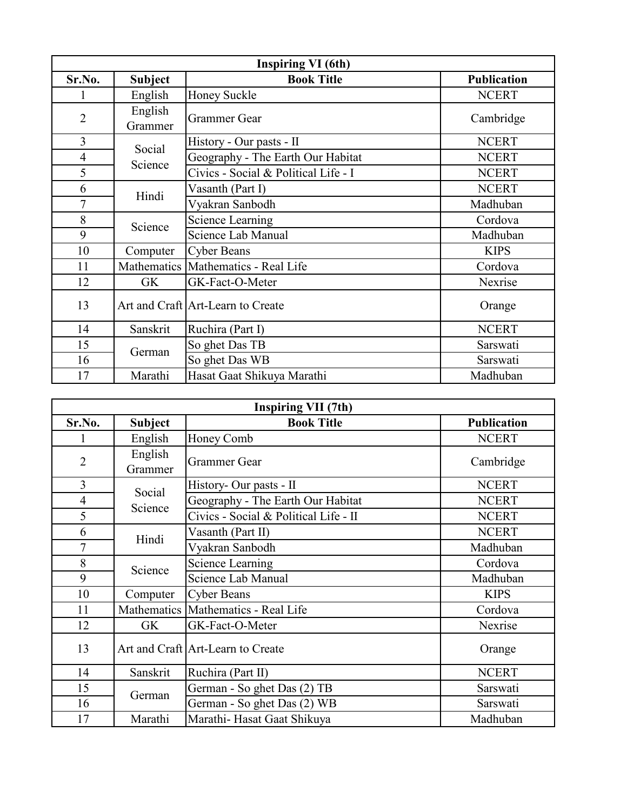| <b>Inspiring VI</b> (6th) |                    |                                       |                    |
|---------------------------|--------------------|---------------------------------------|--------------------|
| Sr.No.                    | <b>Subject</b>     | <b>Book Title</b>                     | <b>Publication</b> |
|                           | English            | Honey Suckle                          | <b>NCERT</b>       |
| $\overline{2}$            | English<br>Grammer | <b>Grammer Gear</b>                   | Cambridge          |
| 3                         | Social             | History - Our pasts - II              | <b>NCERT</b>       |
| $\overline{4}$            | Science            | Geography - The Earth Our Habitat     | <b>NCERT</b>       |
| 5                         |                    | Civics - Social & Political Life - I  | <b>NCERT</b>       |
| 6                         | Hindi              | Vasanth (Part I)                      | <b>NCERT</b>       |
| $\overline{7}$            |                    | Vyakran Sanbodh                       | Madhuban           |
| 8                         | Science            | Science Learning                      | Cordova            |
| 9                         |                    | Science Lab Manual                    | Madhuban           |
| 10                        | Computer           | <b>Cyber Beans</b>                    | <b>KIPS</b>        |
| 11                        |                    | Mathematics   Mathematics - Real Life | Cordova            |
| 12                        | GK                 | GK-Fact-O-Meter                       | Nexrise            |
| 13                        |                    | Art and Craft Art-Learn to Create     | Orange             |
| 14                        | Sanskrit           | Ruchira (Part I)                      | <b>NCERT</b>       |
| 15                        | German             | So ghet Das TB                        | Sarswati           |
| 16                        |                    | So ghet Das WB                        | Sarswati           |
| 17                        | Marathi            | Hasat Gaat Shikuya Marathi            | Madhuban           |

| <b>Inspiring VII (7th)</b> |                    |                                       |                    |
|----------------------------|--------------------|---------------------------------------|--------------------|
| Sr.No.                     | <b>Subject</b>     | <b>Book Title</b>                     | <b>Publication</b> |
|                            | English            | Honey Comb                            | <b>NCERT</b>       |
| $\overline{2}$             | English<br>Grammer | <b>Grammer Gear</b>                   | Cambridge          |
| 3                          | Social             | History- Our pasts - II               | <b>NCERT</b>       |
| $\overline{4}$             | Science            | Geography - The Earth Our Habitat     | <b>NCERT</b>       |
| 5                          |                    | Civics - Social & Political Life - II | <b>NCERT</b>       |
| 6                          | Hindi              | Vasanth (Part II)                     | <b>NCERT</b>       |
| $\overline{7}$             |                    | Vyakran Sanbodh                       | Madhuban           |
| 8                          | Science            | <b>Science Learning</b>               | Cordova            |
| 9                          |                    | Science Lab Manual                    | Madhuban           |
| 10                         | Computer           | <b>Cyber Beans</b>                    | <b>KIPS</b>        |
| 11                         |                    | Mathematics   Mathematics - Real Life | Cordova            |
| 12                         | GK                 | GK-Fact-O-Meter                       | Nexrise            |
| 13                         |                    | Art and Craft Art-Learn to Create     | Orange             |
| 14                         | Sanskrit           | Ruchira (Part II)                     | <b>NCERT</b>       |
| 15                         |                    | German - So ghet Das (2) TB           | Sarswati           |
| 16                         | German             | German - So ghet Das (2) WB           | Sarswati           |
| 17                         | Marathi            | Marathi-Hasat Gaat Shikuya            | Madhuban           |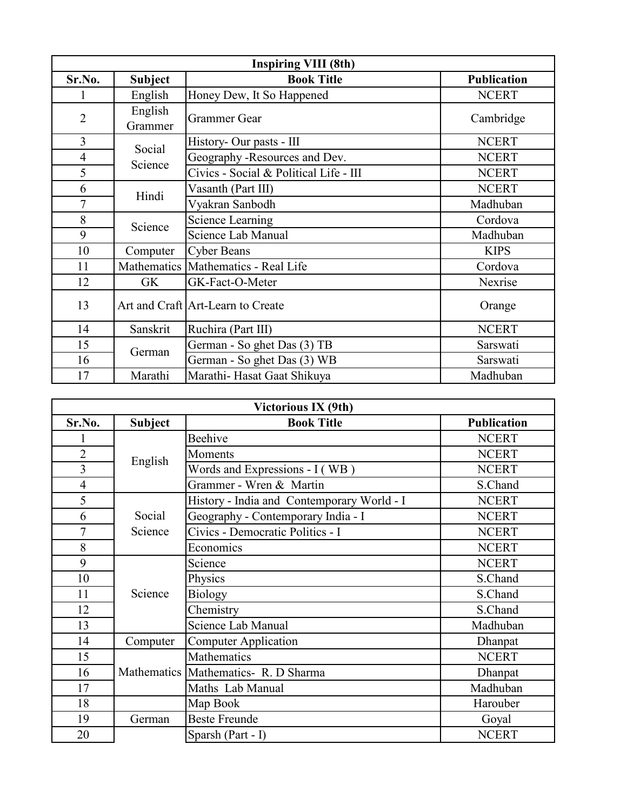| <b>Inspiring VIII (8th)</b> |                    |                                        |                    |
|-----------------------------|--------------------|----------------------------------------|--------------------|
| Sr.No.                      | <b>Subject</b>     | <b>Book Title</b>                      | <b>Publication</b> |
|                             | English            | Honey Dew, It So Happened              | <b>NCERT</b>       |
| $\overline{2}$              | English<br>Grammer | <b>Grammer Gear</b>                    | Cambridge          |
| 3                           | Social             | History- Our pasts - III               | <b>NCERT</b>       |
| $\overline{4}$              | Science            | Geography -Resources and Dev.          | <b>NCERT</b>       |
| 5                           |                    | Civics - Social & Political Life - III | <b>NCERT</b>       |
| 6                           |                    | Vasanth (Part III)                     | <b>NCERT</b>       |
| $\overline{7}$              | Hindi              | Vyakran Sanbodh                        | Madhuban           |
| 8                           |                    | Science Learning                       | Cordova            |
| 9                           | Science            | Science Lab Manual                     | Madhuban           |
| 10                          | Computer           | <b>Cyber Beans</b>                     | <b>KIPS</b>        |
| 11                          |                    | Mathematics   Mathematics - Real Life  | Cordova            |
| 12                          | GK                 | GK-Fact-O-Meter                        | Nexrise            |
| 13                          |                    | Art and Craft Art-Learn to Create      | Orange             |
| 14                          | Sanskrit           | Ruchira (Part III)                     | <b>NCERT</b>       |
| 15                          | German             | German - So ghet Das (3) TB            | Sarswati           |
| 16                          |                    | German - So ghet Das (3) WB            | Sarswati           |
| 17                          | Marathi            | Marathi-Hasat Gaat Shikuya             | Madhuban           |

| Victorious IX (9th) |                |                                            |                    |
|---------------------|----------------|--------------------------------------------|--------------------|
| Sr.No.              | <b>Subject</b> | <b>Book Title</b>                          | <b>Publication</b> |
|                     |                | Beehive                                    | <b>NCERT</b>       |
| $\overline{2}$      | English        | Moments                                    | <b>NCERT</b>       |
| 3                   |                | Words and Expressions - I (WB)             | <b>NCERT</b>       |
| $\overline{4}$      |                | Grammer - Wren & Martin                    | S.Chand            |
| 5                   |                | History - India and Contemporary World - I | <b>NCERT</b>       |
| 6                   | Social         | Geography - Contemporary India - I         | <b>NCERT</b>       |
| $\overline{7}$      | Science        | Civics - Democratic Politics - I           | <b>NCERT</b>       |
| 8                   |                | Economics                                  | <b>NCERT</b>       |
| 9                   |                | Science                                    | <b>NCERT</b>       |
| 10                  |                | Physics                                    | S.Chand            |
| 11                  | Science        | <b>Biology</b>                             | S.Chand            |
| 12                  |                | Chemistry                                  | S.Chand            |
| 13                  |                | Science Lab Manual                         | Madhuban           |
| 14                  | Computer       | Computer Application                       | Dhanpat            |
| 15                  |                | Mathematics                                | <b>NCERT</b>       |
| 16                  |                | Mathematics Mathematics- R. D Sharma       | Dhanpat            |
| 17                  |                | Maths Lab Manual                           | Madhuban           |
| 18                  |                | Map Book                                   | Harouber           |
| 19                  | German         | <b>Beste Freunde</b>                       | Goyal              |
| 20                  |                | Sparsh (Part - I)                          | <b>NCERT</b>       |